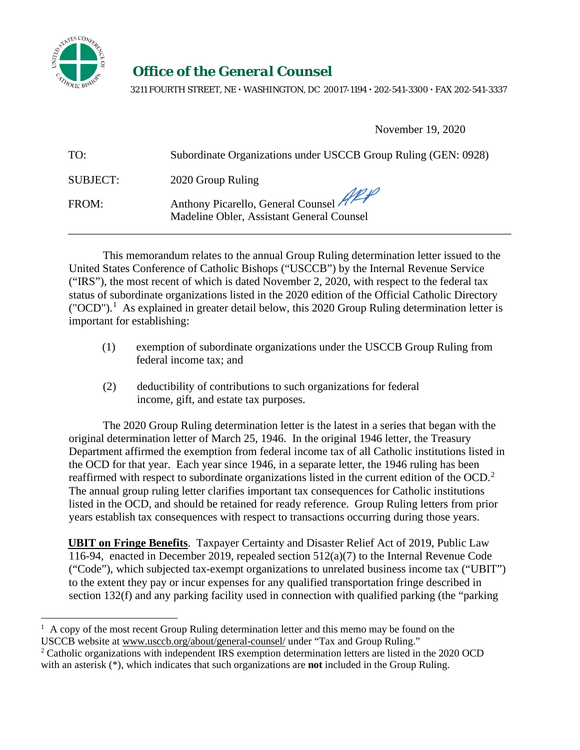

## *Office of the General Counsel*

 $\frac{k_{O_{\text{LC}}}}{80}$  3211 FOURTH STREET, NE  $\cdot$  WASHINGTON, DC 20017-1194  $\cdot$  202-541-3300  $\cdot$  FAX 202-541-3337  $^{\prime}$ 

November 19, 2020

| TO:             | Subordinate Organizations under USCCB Group Ruling (GEN: 0928)                  |
|-----------------|---------------------------------------------------------------------------------|
| <b>SUBJECT:</b> | 2020 Group Ruling                                                               |
| FROM:           | Anthony Picarello, General Counsel<br>Madeline Obler, Assistant General Counsel |

This memorandum relates to the annual Group Ruling determination letter issued to the United States Conference of Catholic Bishops ("USCCB") by the Internal Revenue Service ("IRS"), the most recent of which is dated November 2, 2020, with respect to the federal tax status of subordinate organizations listed in the 2020 edition of the Official Catholic Directory ("OCD").<sup>[1](#page-0-0)</sup> As explained in greater detail below, this 2020 Group Ruling determination letter is important for establishing:

- (1) exemption of subordinate organizations under the USCCB Group Ruling from federal income tax; and
- (2) deductibility of contributions to such organizations for federal income, gift, and estate tax purposes.

The 2020 Group Ruling determination letter is the latest in a series that began with the original determination letter of March 25, 1946. In the original 1946 letter, the Treasury Department affirmed the exemption from federal income tax of all Catholic institutions listed in the OCD for that year. Each year since 1946, in a separate letter, the 1946 ruling has been reaffirmed with respect to subordinate organizations listed in the current edition of the OCD.<sup>[2](#page-0-1)</sup> The annual group ruling letter clarifies important tax consequences for Catholic institutions listed in the OCD, and should be retained for ready reference. Group Ruling letters from prior years establish tax consequences with respect to transactions occurring during those years.

**UBIT on Fringe Benefits**. Taxpayer Certainty and Disaster Relief Act of 2019, Public Law 116-94, enacted in December 2019, repealed section 512(a)(7) to the Internal Revenue Code ("Code"), which subjected tax-exempt organizations to unrelated business income tax ("UBIT") to the extent they pay or incur expenses for any qualified transportation fringe described in section 132(f) and any parking facility used in connection with qualified parking (the "parking

<span id="page-0-0"></span> $<sup>1</sup>$  A copy of the most recent Group Ruling determination letter and this memo may be found on the</sup> USCCB website at www.usccb.org/about/general-counsel/ under "Tax and Group Ruling."

<span id="page-0-1"></span><sup>&</sup>lt;sup>2</sup> Catholic organizations with independent IRS exemption determination letters are listed in the 2020 OCD with an asterisk (\*), which indicates that such organizations are **not** included in the Group Ruling.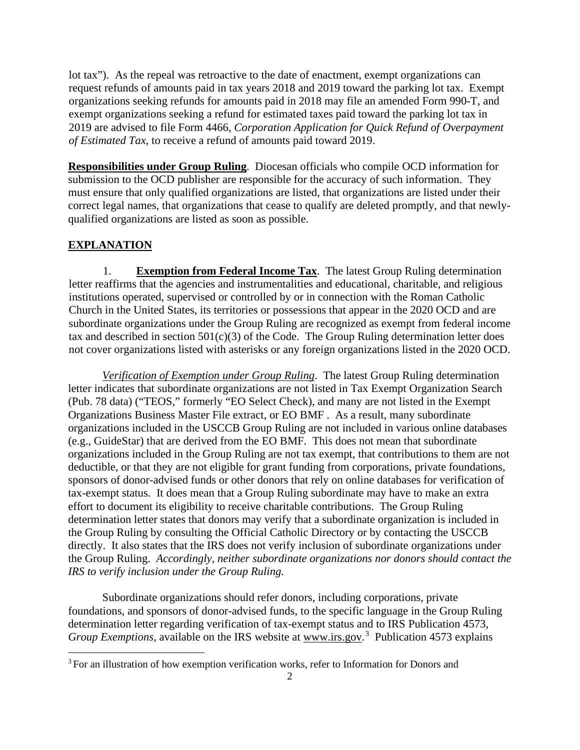lot tax"). As the repeal was retroactive to the date of enactment, exempt organizations can request refunds of amounts paid in tax years 2018 and 2019 toward the parking lot tax. Exempt organizations seeking refunds for amounts paid in 2018 may file an amended Form 990-T, and exempt organizations seeking a refund for estimated taxes paid toward the parking lot tax in 2019 are advised to file Form 4466, *Corporation Application for Quick Refund of Overpayment of Estimated Tax*, to receive a refund of amounts paid toward 2019.

**Responsibilities under Group Ruling**. Diocesan officials who compile OCD information for submission to the OCD publisher are responsible for the accuracy of such information. They must ensure that only qualified organizations are listed, that organizations are listed under their correct legal names, that organizations that cease to qualify are deleted promptly, and that newlyqualified organizations are listed as soon as possible.

## **EXPLANATION**

1. **Exemption from Federal Income Tax**. The latest Group Ruling determination letter reaffirms that the agencies and instrumentalities and educational, charitable, and religious institutions operated, supervised or controlled by or in connection with the Roman Catholic Church in the United States, its territories or possessions that appear in the 2020 OCD and are subordinate organizations under the Group Ruling are recognized as exempt from federal income tax and described in section  $501(c)(3)$  of the Code. The Group Ruling determination letter does not cover organizations listed with asterisks or any foreign organizations listed in the 2020 OCD.

*Verification of Exemption under Group Ruling*. The latest Group Ruling determination letter indicates that subordinate organizations are not listed in Tax Exempt Organization Search (Pub. 78 data) ("TEOS," formerly "EO Select Check), and many are not listed in the Exempt Organizations Business Master File extract, or EO BMF . As a result, many subordinate organizations included in the USCCB Group Ruling are not included in various online databases (e.g., GuideStar) that are derived from the EO BMF. This does not mean that subordinate organizations included in the Group Ruling are not tax exempt, that contributions to them are not deductible, or that they are not eligible for grant funding from corporations, private foundations, sponsors of donor-advised funds or other donors that rely on online databases for verification of tax-exempt status. It does mean that a Group Ruling subordinate may have to make an extra effort to document its eligibility to receive charitable contributions. The Group Ruling determination letter states that donors may verify that a subordinate organization is included in the Group Ruling by consulting the Official Catholic Directory or by contacting the USCCB directly. It also states that the IRS does not verify inclusion of subordinate organizations under the Group Ruling. *Accordingly, neither subordinate organizations nor donors should contact the IRS to verify inclusion under the Group Ruling.*

Subordinate organizations should refer donors, including corporations, private foundations, and sponsors of donor-advised funds, to the specific language in the Group Ruling determination letter regarding verification of tax-exempt status and to IRS Publication 4573, Group Exemptions, available on the IRS website at www.irs.gov.<sup>[3](#page-1-0)</sup> Publication 4573 explains

<span id="page-1-0"></span><sup>&</sup>lt;sup>3</sup> For an illustration of how exemption verification works, refer to Information for Donors and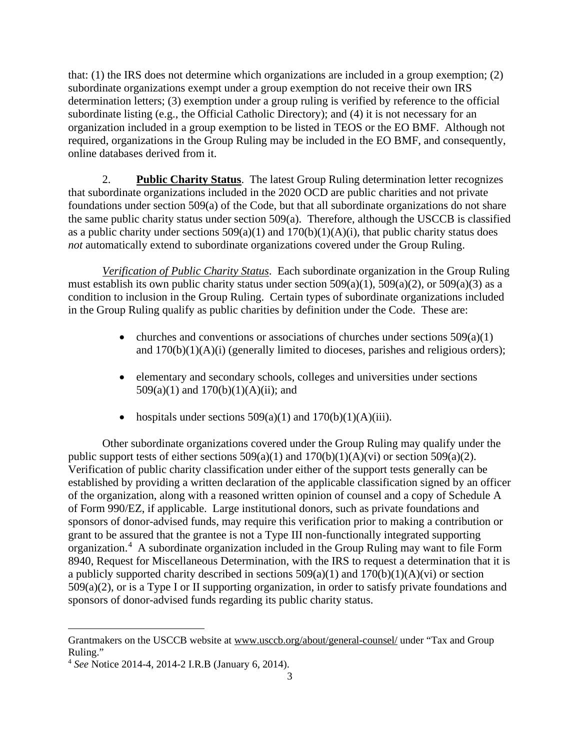that: (1) the IRS does not determine which organizations are included in a group exemption; (2) subordinate organizations exempt under a group exemption do not receive their own IRS determination letters; (3) exemption under a group ruling is verified by reference to the official subordinate listing (e.g., the Official Catholic Directory); and (4) it is not necessary for an organization included in a group exemption to be listed in TEOS or the EO BMF. Although not required, organizations in the Group Ruling may be included in the EO BMF, and consequently, online databases derived from it.

2. **Public Charity Status**. The latest Group Ruling determination letter recognizes that subordinate organizations included in the 2020 OCD are public charities and not private foundations under section 509(a) of the Code, but that all subordinate organizations do not share the same public charity status under section 509(a). Therefore, although the USCCB is classified as a public charity under sections  $509(a)(1)$  and  $170(b)(1)(A)(i)$ , that public charity status does *not* automatically extend to subordinate organizations covered under the Group Ruling.

*Verification of Public Charity Status*. Each subordinate organization in the Group Ruling must establish its own public charity status under section  $509(a)(1)$ ,  $509(a)(2)$ , or  $509(a)(3)$  as a condition to inclusion in the Group Ruling. Certain types of subordinate organizations included in the Group Ruling qualify as public charities by definition under the Code. These are:

- churches and conventions or associations of churches under sections  $509(a)(1)$ and  $170(b)(1)(A)(i)$  (generally limited to dioceses, parishes and religious orders);
- elementary and secondary schools, colleges and universities under sections 509(a)(1) and  $170(b)(1)(A)(ii)$ ; and
- hospitals under sections  $509(a)(1)$  and  $170(b)(1)(A)(iii)$ .

Other subordinate organizations covered under the Group Ruling may qualify under the public support tests of either sections  $509(a)(1)$  and  $170(b)(1)(A)(vi)$  or section  $509(a)(2)$ . Verification of public charity classification under either of the support tests generally can be established by providing a written declaration of the applicable classification signed by an officer of the organization, along with a reasoned written opinion of counsel and a copy of Schedule A of Form 990/EZ, if applicable. Large institutional donors, such as private foundations and sponsors of donor-advised funds, may require this verification prior to making a contribution or grant to be assured that the grantee is not a Type III non-functionally integrated supporting organization.<sup>[4](#page-2-0)</sup> A subordinate organization included in the Group Ruling may want to file Form 8940, Request for Miscellaneous Determination, with the IRS to request a determination that it is a publicly supported charity described in sections  $509(a)(1)$  and  $170(b)(1)(A)(vi)$  or section  $509(a)(2)$ , or is a Type I or II supporting organization, in order to satisfy private foundations and sponsors of donor-advised funds regarding its public charity status.

[Grantmakers](http://www.usccb.org/about/general-counsel/information-for-donors-and-grantmakers.cfm) on the USCCB website at www.usccb.org/about/general-counsel/ under "Tax and Group Ruling."

<span id="page-2-0"></span><sup>4</sup> *See* Notice 2014-4, 2014-2 I.R.B (January 6, 2014).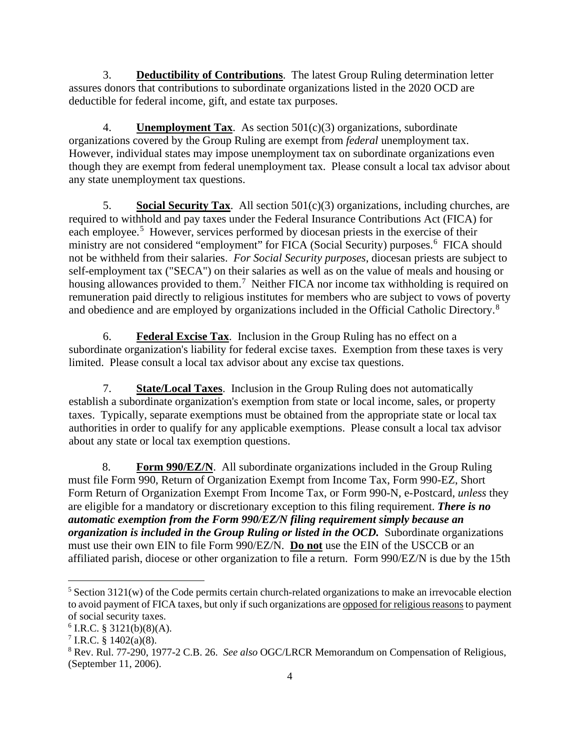3. **Deductibility of Contributions**. The latest Group Ruling determination letter assures donors that contributions to subordinate organizations listed in the 2020 OCD are deductible for federal income, gift, and estate tax purposes.

4. **Unemployment Tax**. As section 501(c)(3) organizations, subordinate organizations covered by the Group Ruling are exempt from *federal* unemployment tax. However, individual states may impose unemployment tax on subordinate organizations even though they are exempt from federal unemployment tax. Please consult a local tax advisor about any state unemployment tax questions.

5. **Social Security Tax**. All section 501(c)(3) organizations, including churches, are required to withhold and pay taxes under the Federal Insurance Contributions Act (FICA) for each employee.<sup>[5](#page-3-0)</sup> However, services performed by diocesan priests in the exercise of their ministry are not considered "employment" for FICA (Social Security) purposes.<sup>[6](#page-3-1)</sup> FICA should not be withheld from their salaries. *For Social Security purposes*, diocesan priests are subject to self-employment tax ("SECA") on their salaries as well as on the value of meals and housing or housing allowances provided to them.<sup>[7](#page-3-2)</sup> Neither FICA nor income tax withholding is required on remuneration paid directly to religious institutes for members who are subject to vows of poverty and obedience and are employed by organizations included in the Official Catholic Directory.[8](#page-3-3)

6. **Federal Excise Tax**. Inclusion in the Group Ruling has no effect on a subordinate organization's liability for federal excise taxes. Exemption from these taxes is very limited. Please consult a local tax advisor about any excise tax questions.

7. **State/Local Taxes**. Inclusion in the Group Ruling does not automatically establish a subordinate organization's exemption from state or local income, sales, or property taxes. Typically, separate exemptions must be obtained from the appropriate state or local tax authorities in order to qualify for any applicable exemptions. Please consult a local tax advisor about any state or local tax exemption questions.

8. **Form 990/EZ/N**. All subordinate organizations included in the Group Ruling must file Form 990, Return of Organization Exempt from Income Tax, Form 990-EZ, Short Form Return of Organization Exempt From Income Tax, or Form 990-N, e-Postcard, *unless* they are eligible for a mandatory or discretionary exception to this filing requirement. *There is no automatic exemption from the Form 990/EZ/N filing requirement simply because an organization is included in the Group Ruling or listed in the OCD.* Subordinate organizations must use their own EIN to file Form 990/EZ/N. **Do not** use the EIN of the USCCB or an affiliated parish, diocese or other organization to file a return. Form 990/EZ/N is due by the 15th

<span id="page-3-0"></span> $5$  Section 3121(w) of the Code permits certain church-related organizations to make an irrevocable election to avoid payment of FICA taxes, but only if such organizations are opposed for religious reasons to payment of social security taxes.

<span id="page-3-1"></span> $6$  I.R.C. § 3121(b)(8)(A).

<span id="page-3-2"></span> $7$  I.R.C. § 1402(a)(8).

<span id="page-3-3"></span><sup>8</sup> Rev. Rul. 77-290, 1977-2 C.B. 26. *See also* OGC/LRCR Memorandum on Compensation of Religious, (September 11, 2006).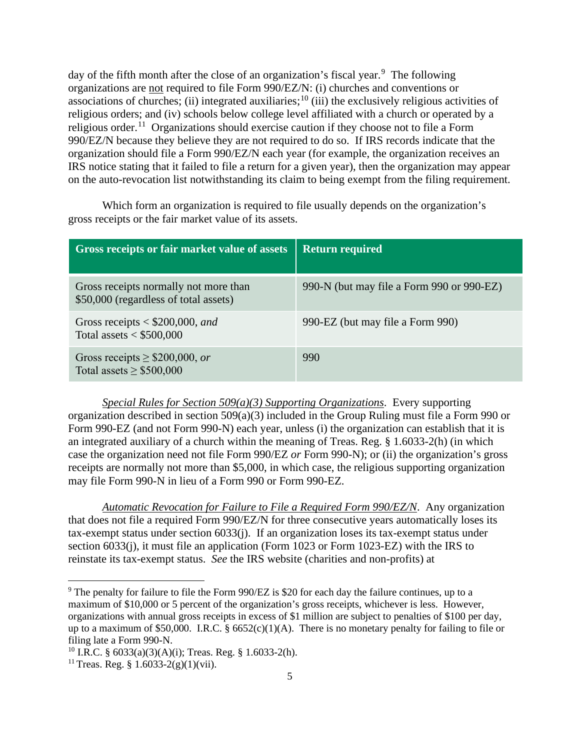day of the fifth month after the close of an organization's fiscal year.<sup>[9](#page-4-0)</sup> The following organizations are not required to file Form 990/EZ/N: (i) churches and conventions or associations of churches; (ii) integrated auxiliaries;  $^{10}$  $^{10}$  $^{10}$  (iii) the exclusively religious activities of religious orders; and (iv) schools below college level affiliated with a church or operated by a religious order.<sup>11</sup> Organizations should exercise caution if they choose not to file a Form 990/EZ/N because they believe they are not required to do so. If IRS records indicate that the organization should file a Form 990/EZ/N each year (for example, the organization receives an IRS notice stating that it failed to file a return for a given year), then the organization may appear on the auto-revocation list notwithstanding its claim to being exempt from the filing requirement.

Which form an organization is required to file usually depends on the organization's gross receipts or the fair market value of its assets.

| Gross receipts or fair market value of assets                                  | <b>Return required</b>                    |
|--------------------------------------------------------------------------------|-------------------------------------------|
| Gross receipts normally not more than<br>\$50,000 (regardless of total assets) | 990-N (but may file a Form 990 or 990-EZ) |
| Gross receipts $<$ \$200,000, and<br>Total assets $<$ \$500,000                | 990-EZ (but may file a Form 990)          |
| Gross receipts $\geq$ \$200,000, or<br>Total assets $\geq$ \$500,000           | 990                                       |

*Special Rules for Section 509(a)(3) Supporting Organizations*. Every supporting organization described in section 509(a)(3) included in the Group Ruling must file a Form 990 or Form 990-EZ (and not Form 990-N) each year, unless (i) the organization can establish that it is an integrated auxiliary of a church within the meaning of Treas. Reg. § 1.6033-2(h) (in which case the organization need not file Form 990/EZ *or* Form 990-N); or (ii) the organization's gross receipts are normally not more than \$5,000, in which case, the religious supporting organization may file Form 990-N in lieu of a Form 990 or Form 990-EZ.

*Automatic Revocation for Failure to File a Required Form 990/EZ/N*. Any organization that does not file a required Form 990/EZ/N for three consecutive years automatically loses its tax-exempt status under section 6033(j). If an organization loses its tax-exempt status under section 6033(j), it must file an application (Form 1023 or Form 1023-EZ) with the IRS to reinstate its tax-exempt status. *See* the IRS website (charities and non-profits) at

<span id="page-4-0"></span><sup>&</sup>lt;sup>9</sup> The penalty for failure to file the Form 990/EZ is \$20 for each day the failure continues, up to a maximum of \$10,000 or 5 percent of the organization's gross receipts, whichever is less. However, organizations with annual gross receipts in excess of \$1 million are subject to penalties of \$100 per day, up to a maximum of \$50,000. I.R.C. §  $6652(c)(1)(A)$ . There is no monetary penalty for failing to file or filing late a Form 990-N.

<span id="page-4-1"></span><sup>&</sup>lt;sup>10</sup> I.R.C. §  $6033(a)(3)(A)(i)$ ; Treas. Reg. § 1.6033-2(h).

<span id="page-4-2"></span><sup>&</sup>lt;sup>11</sup> Treas. Reg. § 1.6033-2(g)(1)(vii).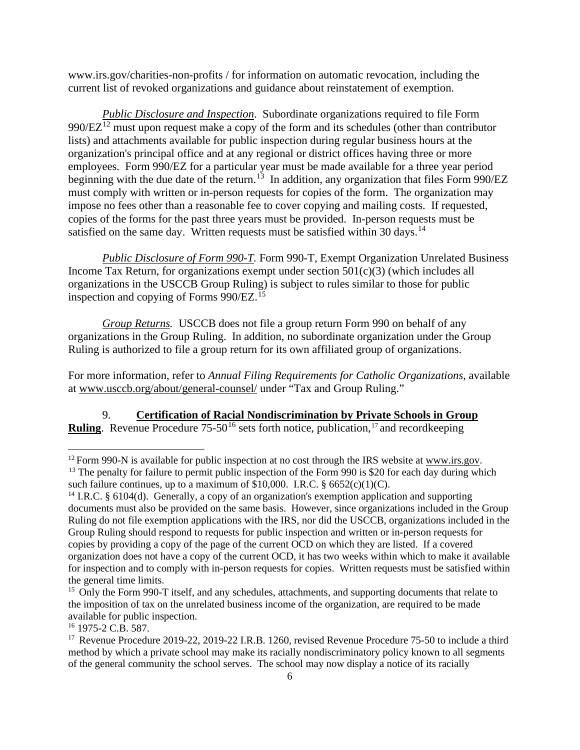www.irs.gov/charities-non-profits / for information on automatic revocation, including the current list of revoked organizations and guidance about reinstatement of exemption.

*Public Disclosure and Inspection*. Subordinate organizations required to file Form  $990/EZ<sup>12</sup>$  $990/EZ<sup>12</sup>$  $990/EZ<sup>12</sup>$  must upon request make a copy of the form and its schedules (other than contributor lists) and attachments available for public inspection during regular business hours at the organization's principal office and at any regional or district offices having three or more employees. Form 990/EZ for a particular year must be made available for a three year period beginning with the due date of the return.<sup>[13](#page-5-1)</sup> In addition, any organization that files Form 990/EZ must comply with written or in-person requests for copies of the form. The organization may impose no fees other than a reasonable fee to cover copying and mailing costs. If requested, copies of the forms for the past three years must be provided. In-person requests must be satisfied on the same day. Written requests must be satisfied within 30 days.<sup>[14](#page-5-2)</sup>

*Public Disclosure of Form 990-T.* Form 990-T, Exempt Organization Unrelated Business Income Tax Return, for organizations exempt under section  $501(c)(3)$  (which includes all organizations in the USCCB Group Ruling) is subject to rules similar to those for public inspection and copying of Forms 990/EZ.[15](#page-5-3)

*Group Returns.* USCCB does not file a group return Form 990 on behalf of any organizations in the Group Ruling. In addition, no subordinate organization under the Group Ruling is authorized to file a group return for its own affiliated group of organizations.

For more information, refer to *Annual Filing Requirements for Catholic Organizations*, available at www.usccb.org/about/general-counsel/ under "Tax and Group Ruling."

9. **Certification of Racial Nondiscrimination by Private Schools in Group Ruling**. Revenue Procedure  $75-50^{16}$  $75-50^{16}$  $75-50^{16}$  sets forth notice, publication,<sup>[17](#page-5-5)</sup> and recordkeeping

<span id="page-5-4"></span><sup>16</sup> 1975-2 C.B. 587.

<span id="page-5-1"></span><span id="page-5-0"></span> $12$  Form 990-N is available for public inspection at no cost through the IRS website at [www.irs.gov.](http://www.irs.gov/) <sup>13</sup> The penalty for failure to permit public inspection of the Form 990 is \$20 for each day during which such failure continues, up to a maximum of  $$10,000$ . I.R.C.  $$6652(c)(1)(C)$ .

<span id="page-5-2"></span><sup>&</sup>lt;sup>14</sup> I.R.C. § 6104(d). Generally, a copy of an organization's exemption application and supporting documents must also be provided on the same basis. However, since organizations included in the Group Ruling do not file exemption applications with the IRS, nor did the USCCB, organizations included in the Group Ruling should respond to requests for public inspection and written or in-person requests for copies by providing a copy of the page of the current OCD on which they are listed. If a covered organization does not have a copy of the current OCD, it has two weeks within which to make it available for inspection and to comply with in-person requests for copies. Written requests must be satisfied within the general time limits.

<span id="page-5-3"></span><sup>&</sup>lt;sup>15</sup> Only the Form 990-T itself, and any schedules, attachments, and supporting documents that relate to the imposition of tax on the unrelated business income of the organization, are required to be made available for public inspection.

<span id="page-5-5"></span><sup>&</sup>lt;sup>17</sup> Revenue Procedure 2019-22, 2019-22 I.R.B. 1260, revised Revenue Procedure 75-50 to include a third method by which a private school may make its racially nondiscriminatory policy known to all segments of the general community the school serves. The school may now display a notice of its racially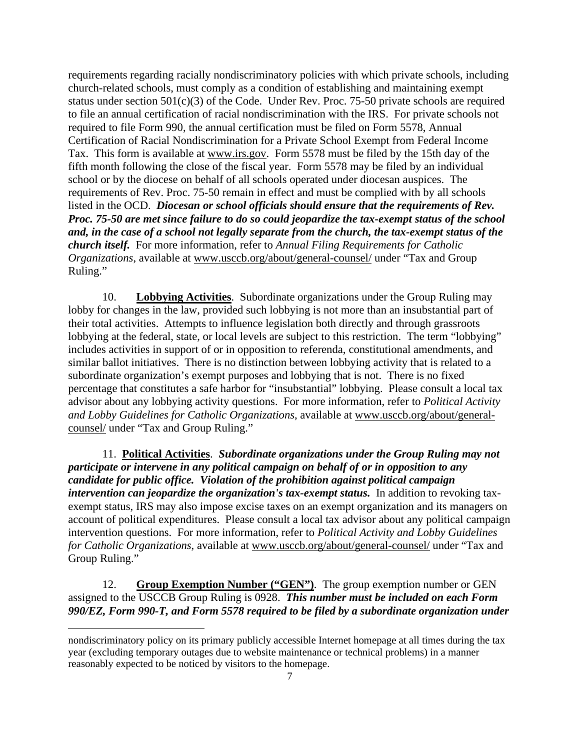requirements regarding racially nondiscriminatory policies with which private schools, including church-related schools, must comply as a condition of establishing and maintaining exempt status under section  $501(c)(3)$  of the Code. Under Rev. Proc. 75-50 private schools are required to file an annual certification of racial nondiscrimination with the IRS. For private schools not required to file Form 990, the annual certification must be filed on Form 5578, Annual Certification of Racial Nondiscrimination for a Private School Exempt from Federal Income Tax. This form is available at www.irs.gov. Form 5578 must be filed by the 15th day of the fifth month following the close of the fiscal year. Form 5578 may be filed by an individual school or by the diocese on behalf of all schools operated under diocesan auspices. The requirements of Rev. Proc. 75-50 remain in effect and must be complied with by all schools listed in the OCD. *Diocesan or school officials should ensure that the requirements of Rev. Proc. 75-50 are met since failure to do so could jeopardize the tax-exempt status of the school and, in the case of a school not legally separate from the church, the tax-exempt status of the church itself.* For more information, refer to *Annual Filing Requirements for Catholic Organizations*, available at www.usccb.org/about/general-counsel/ under "Tax and Group Ruling."

10. **Lobbying Activities**. Subordinate organizations under the Group Ruling may lobby for changes in the law, provided such lobbying is not more than an insubstantial part of their total activities. Attempts to influence legislation both directly and through grassroots lobbying at the federal, state, or local levels are subject to this restriction. The term "lobbying" includes activities in support of or in opposition to referenda, constitutional amendments, and similar ballot initiatives. There is no distinction between lobbying activity that is related to a subordinate organization's exempt purposes and lobbying that is not. There is no fixed percentage that constitutes a safe harbor for "insubstantial" lobbying. Please consult a local tax advisor about any lobbying activity questions. For more information, refer to *[Political Activity](http://www.usccb.org/about/general-counsel/upload/USCCB-PACI-Guide-2015.pdf)  [and Lobby Guidelines for Catholic Organizations](http://www.usccb.org/about/general-counsel/upload/USCCB-PACI-Guide-2015.pdf)*, available at www.usccb.org/about/generalcounsel/ under "Tax and Group Ruling."

11. **Political Activities**. *Subordinate organizations under the Group Ruling may not participate or intervene in any political campaign on behalf of or in opposition to any candidate for public office. Violation of the prohibition against political campaign intervention can jeopardize the organization's tax-exempt status.* In addition to revoking taxexempt status, IRS may also impose excise taxes on an exempt organization and its managers on account of political expenditures. Please consult a local tax advisor about any political campaign intervention questions. For more information, refer to *[Political Activity and Lobby Guidelines](http://www.usccb.org/about/general-counsel/upload/USCCB-PACI-Guide-2015.pdf)  [for Catholic Organizations](http://www.usccb.org/about/general-counsel/upload/USCCB-PACI-Guide-2015.pdf)*, available at www.usccb.org/about/general-counsel/ under "Tax and Group Ruling."

12. **Group Exemption Number ("GEN")**. The group exemption number or GEN assigned to the USCCB Group Ruling is 0928. *This number must be included on each Form 990/EZ, Form 990-T, and Form 5578 required to be filed by a subordinate organization under* 

nondiscriminatory policy on its primary publicly accessible Internet homepage at all times during the tax year (excluding temporary outages due to website maintenance or technical problems) in a manner reasonably expected to be noticed by visitors to the homepage.